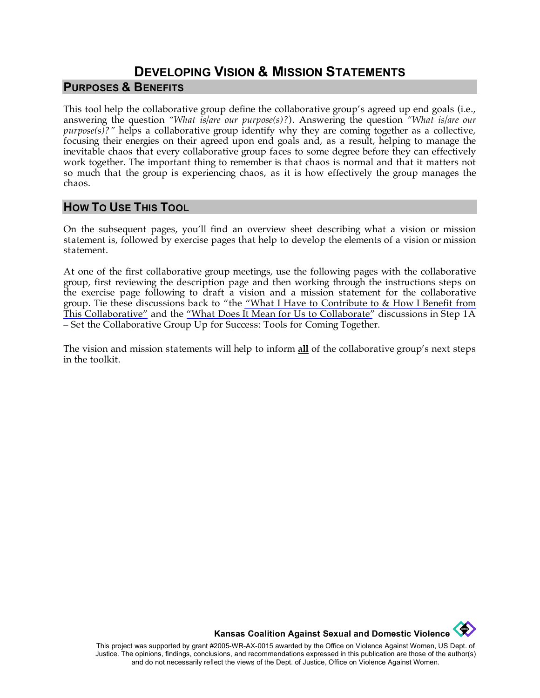## **DEVELOPING VISION & MISSION STATEMENTS PURPOSES & BENEFITS**

This tool help the collaborative group define the collaborative group's agreed up end goals (i.e., answering the question *"What is/are our purpose(s)?*). Answering the question *"What is/are our purpose(s)?"* helps a collaborative group identify why they are coming together as a collective, focusing their energies on their agreed upon end goals and, as a result, helping to manage the inevitable chaos that every collaborative group faces to some degree before they can effectively work together. The important thing to remember is that chaos is normal and that it matters not so much that the group is experiencing chaos, as it is how effectively the group manages the chaos.

#### **HOW TO USE THIS TOOL**

On the subsequent pages, you'll find an overview sheet describing what a vision or mission statement is, followed by exercise pages that help to develop the elements of a vision or mission statement.

At one of the first collaborative group meetings, use the following pages with the collaborative group, first reviewing the description page and then working through the instructions steps on the exercise page following to draft a vision and a mission statement for the collaborative group. Tie these discussions back to "the ["What I Have to Contribute to & How I Benefit from](http://www.kcsdv.org/toolkit/commorgtoolkit.html#ContributeandBenefit)  [This Collaborative"](http://www.kcsdv.org/toolkit/commorgtoolkit.html#ContributeandBenefit) and the ["What Does It Mean for Us to Collaborate"](http://www.kcsdv.org/toolkit/commorgtoolkit.html#Collaborate) discussions in Step 1A – Set the Collaborative Group Up for Success: Tools for Coming Together.

The vision and mission statements will help to inform **all** of the collaborative group's next steps in the toolkit.

**Kansas Coalition Against Sexual and Domestic Violence** 

**Contract of the Second** 

This project was supported by grant #2005-WR-AX-0015 awarded by the Office on Violence Against Women, US Dept. of Justice. The opinions, findings, conclusions, and recommendations expressed in this publication are those of the author(s) and do not necessarily reflect the views of the Dept. of Justice, Office on Violence Against Women.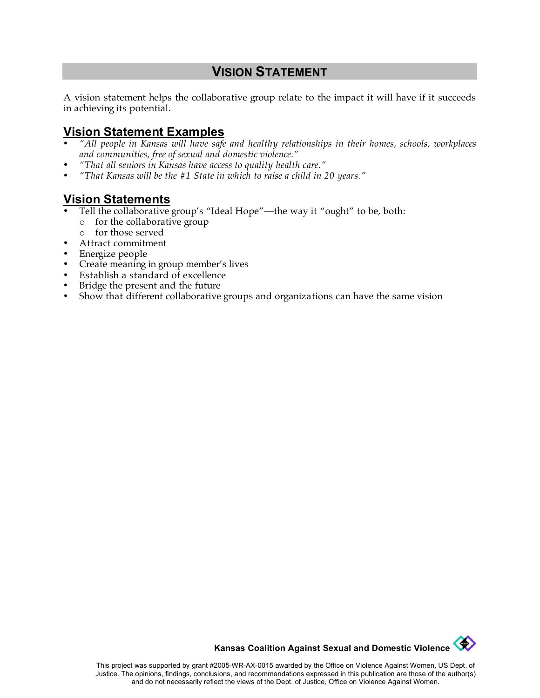## **VISION STATEMENT**

A vision statement helps the collaborative group relate to the impact it will have if it succeeds in achieving its potential.

#### **Vision Statement Examples**

- *"All people in Kansas will have safe and healthy relationships in their homes, schools, workplaces and communities, free of sexual and domestic violence."*
- *"That all seniors in Kansas have access to quality health care."*
- *"That Kansas will be the #1 State in which to raise a child in 20 years."*

# **Vision Statements**

- Tell the collaborative group's "Ideal Hope"—the way it "ought" to be, both:
	- o for the collaborative group
- o for those served
- Attract commitment
- Energize people
- Create meaning in group member's lives
- Establish a standard of excellence
- Bridge the present and the future
- Show that different collaborative groups and organizations can have the same vision

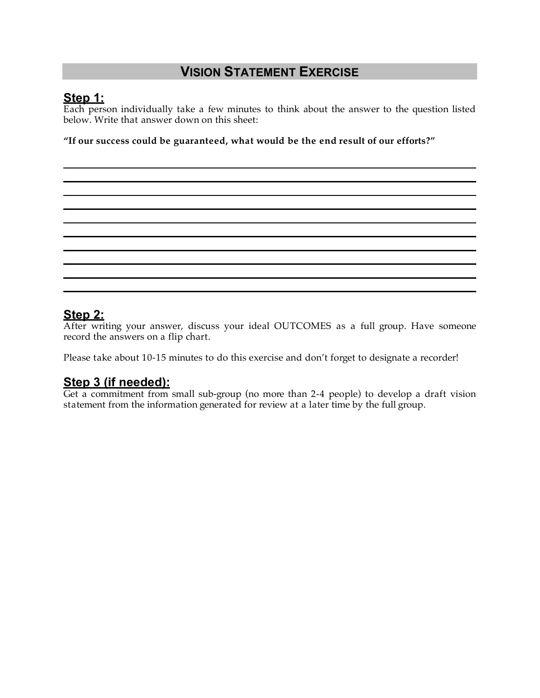## **VISION STATEMENT EXERCISE**

## **Step 1:**

Each person individually take a few minutes to think about the answer to the question listed below. Write that answer down on this sheet:

**"If our success could be guaranteed, what would be the end result of our efforts?"** 

## **Step 2:**

After writing your answer, discuss your ideal OUTCOMES as a full group. Have someone record the answers on a flip chart.

Please take about 10-15 minutes to do this exercise and don't forget to designate a recorder!

## **Step 3 (if needed):**

Get a commitment from small sub-group (no more than 2-4 people) to develop a draft vision statement from the information generated for review at a later time by the full group.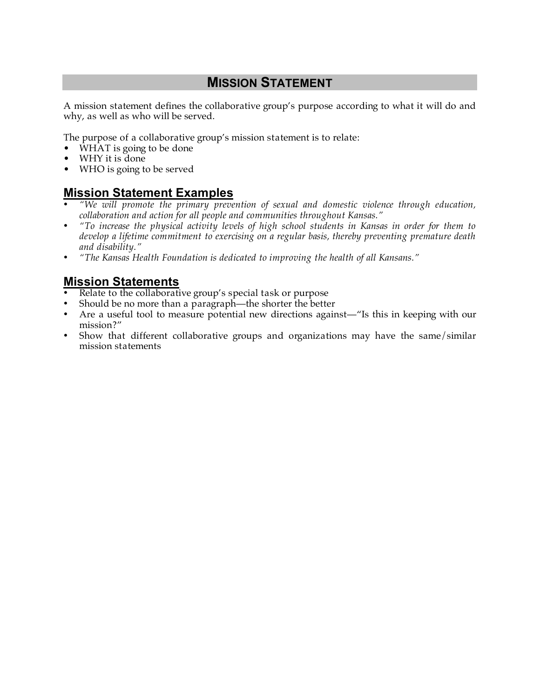## **MISSION STATEMENT**

A mission statement defines the collaborative group's purpose according to what it will do and why, as well as who will be served.

The purpose of a collaborative group's mission statement is to relate:

- WHAT is going to be done
- WHY it is done
- WHO is going to be served

#### **Mission Statement Examples**

- *"We will promote the primary prevention of sexual and domestic violence through education, collaboration and action for all people and communities throughout Kansas."*
- *"To increase the physical activity levels of high school students in Kansas in order for them to develop a lifetime commitment to exercising on a regular basis, thereby preventing premature death and disability."*
- *"The Kansas Health Foundation is dedicated to improving the health of all Kansans."*

#### **Mission Statements**

- Relate to the collaborative group's special task or purpose
- Should be no more than a paragraph—the shorter the better
- Are a useful tool to measure potential new directions against—"Is this in keeping with our mission?"
- Show that different collaborative groups and organizations may have the same/similar mission statements